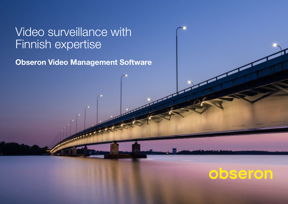## Video surveillance with Finnish expertise

**Obseron Video Management Software**

# obseron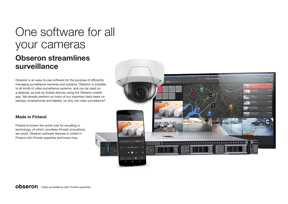## One software for all your cameras **Obseron streamlines surveillance**

Obseron is an easy-to-use software for the purpose of efficiently managing surveillance cameras and systems. Obseron is scalable to all kinds of video surveillance systems, and can be used on a desktop, as well as mobile devices using the Obseron mobile app. We already perform so many of our important daily tasks on laptops, smartphones and tablets, so why not video surveillance?

### **Made in Finland**

Finland is known the world over for excelling in technology, of which countless Finnish innovations are proof. Obseron software likewise is coded in Finland with Finnish expertise and know-how.

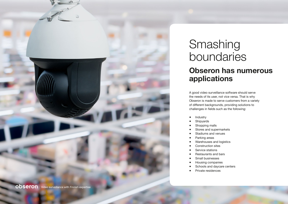

### Smashing boundaries **Obseron has numerous applications**

A good video surveillance software should serve the needs of its user, not vice versa. That is why Obseron is made to serve customers from a variety of different backgrounds, providing solutions to challenges in fields such as the following:

- Industry
- Shipyards
- Shopping malls
- Stores and supermarkets
- Stadiums and venues
- Parking areas
- Warehouses and logistics
- Construction sites
- Service stations
- **Restaurants and bars**
- Small businesses
- Housing companies
- Schools and daycare centers
- Private residences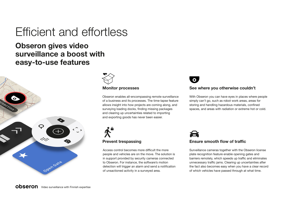# Efficient and effortless

### **Obseron gives video surveillance a boost with easy-to-use features**





Obseron enables all-encompassing remote surveillance of a business and its processes. The time-lapse feature allows insight into how projects are coming along, and surveying loading docks, finding missing packages and clearing up uncertainties related to importing and exporting goods has never been easier.



Access control becomes more difficult the more people and vehicles are on the move. The solution is in support provided by security cameras connected to Obseron. For instance, the software's motion detection will trigger an alarm and send a notification of unsactioned activity in a surveyed area.



### **Monitor processes See where you otherwise couldn't**

With Obseron you can have eyes in places where people simply can't go, such as robot work areas, areas for storing and handling hazardous materials, confined spaces, and areas with radiation or extreme hot or cold.



### **Prevent trespassing Theorem 2018** Ensure smooth flow of traffic

Surveillance cameras together with the Obseron license plate recognition feature enable opening gates and barriers remotely, which speeds up traffic and eliminates unnecessary traffic jams. Clearing up uncertainties after the fact also becomes easy when you have a clear record of which vehicles have passed through at what time.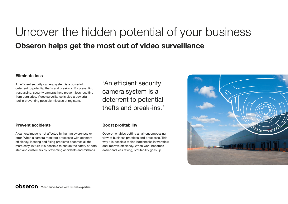## Uncover the hidden potential of your business **Obseron helps get the most out of video surveillance**

### **Eliminate loss**

An efficient security camera system is a powerful deterrent to potential thefts and break-ins. By preventing trespassing, security cameras help prevent loss resulting from burglaries. Video surveillance is also a powerful tool in preventing possible misuses at registers.

'An efficient security camera system is a deterrent to potential thefts and break-ins.'

A camera image is not affected by human awareness or error. When a camera monitors processes with constant efficiency, locating and fixing problems becomes all the more easy. In turn it is possible to ensure the safety of both staff and customers by preventing accidents and mishaps.

### **Prevent accidents Boost profitability**

Obseron enables getting an all-encompassing view of business practices and processes. This way it is possible to find bottlenecks in workflow and improve efficiency. When work becomes easier and less taxing, profitability goes up.

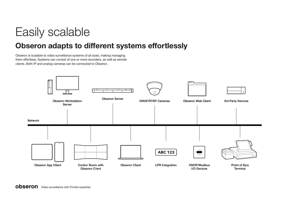# Easily scalable

### **Obseron adapts to different systems effortlessly**

Obseron is scalable to video surveillance systems of all sizes, making managing them effortless. Systems can consist of one or more recorders, as well as remote clients. Both IP and analog cameras can be connected to Obseron.

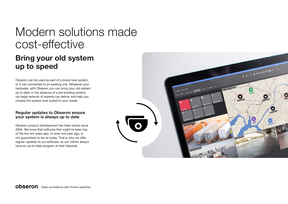# Modern solutions made cost-effective

### **Bring your old system up to speed**

Obseron can be used as part of a brand new system, or it can connected to an existing one. Whatever your hardware, with Obseron you can bring your old system up to date. In the absence of a pre-existing system, our large network of experts can deliver and help you choose the system best suited to your needs.

### **Regular updates to Obseron ensure your system is always up to date**

Obseron product development has been active since 2004. We know that software that might've been top of the line ten years ago, or even one year ago, is not guaranteed to be so today. That is why we offer regular updates to our software, so our clients always have an up-to-date program at their disposal.